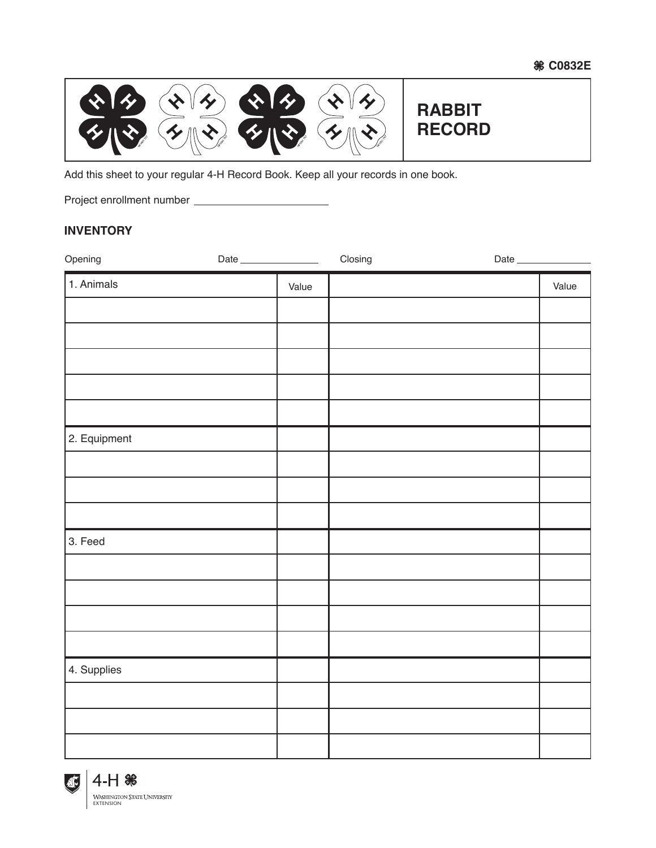**C0832E**



Add this sheet to your regular 4-H Record Book. Keep all your records in one book.

Project enrollment number

## **INVENTORY**

| Opening      | Date |       | Closing | Date |       |
|--------------|------|-------|---------|------|-------|
| 1. Animals   |      | Value |         |      | Value |
|              |      |       |         |      |       |
|              |      |       |         |      |       |
|              |      |       |         |      |       |
|              |      |       |         |      |       |
|              |      |       |         |      |       |
| 2. Equipment |      |       |         |      |       |
|              |      |       |         |      |       |
|              |      |       |         |      |       |
|              |      |       |         |      |       |
| 3. Feed      |      |       |         |      |       |
|              |      |       |         |      |       |
|              |      |       |         |      |       |
|              |      |       |         |      |       |
|              |      |       |         |      |       |
| 4. Supplies  |      |       |         |      |       |
|              |      |       |         |      |       |
|              |      |       |         |      |       |
|              |      |       |         |      |       |

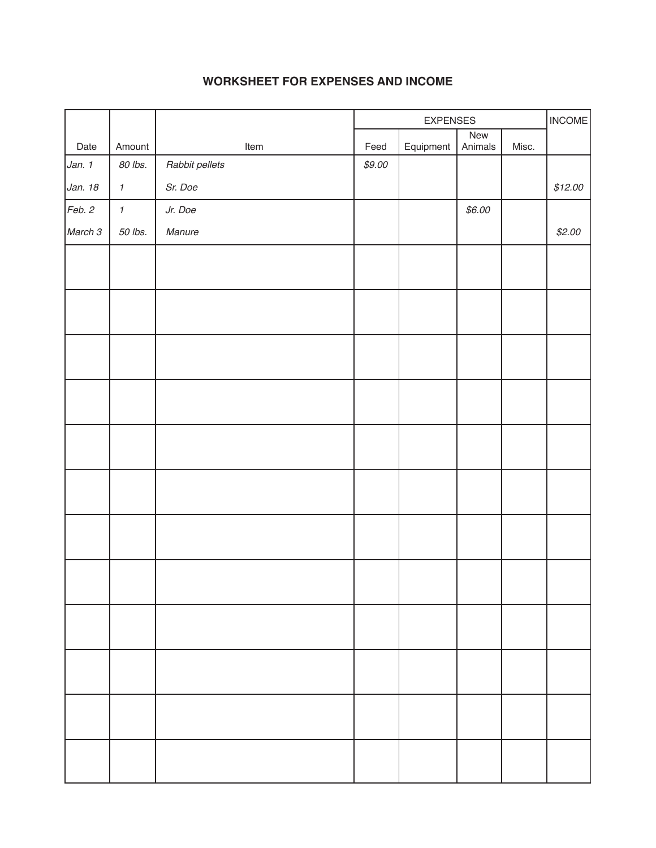# **WORKSHEET FOR EXPENSES AND INCOME**

|         |                     |                | <b>EXPENSES</b> |           |                | <b>INCOME</b> |         |
|---------|---------------------|----------------|-----------------|-----------|----------------|---------------|---------|
| Date    | Amount              | Item           | Feed            | Equipment | New<br>Animals | Misc.         |         |
| Jan. 1  | 80 lbs.             | Rabbit pellets | \$9.00          |           |                |               |         |
| Jan. 18 | $\pmb{\mathcal{I}}$ | Sr. Doe        |                 |           |                |               | \$12.00 |
| Feb. 2  | $\pmb{\mathcal{I}}$ | Jr. Doe        |                 |           | \$6.00         |               |         |
| March 3 | 50 lbs.             | Manure         |                 |           |                |               | \$2.00  |
|         |                     |                |                 |           |                |               |         |
|         |                     |                |                 |           |                |               |         |
|         |                     |                |                 |           |                |               |         |
|         |                     |                |                 |           |                |               |         |
|         |                     |                |                 |           |                |               |         |
|         |                     |                |                 |           |                |               |         |
|         |                     |                |                 |           |                |               |         |
|         |                     |                |                 |           |                |               |         |
|         |                     |                |                 |           |                |               |         |
|         |                     |                |                 |           |                |               |         |
|         |                     |                |                 |           |                |               |         |
|         |                     |                |                 |           |                |               |         |
|         |                     |                |                 |           |                |               |         |
|         |                     |                |                 |           |                |               |         |
|         |                     |                |                 |           |                |               |         |
|         |                     |                |                 |           |                |               |         |
|         |                     |                |                 |           |                |               |         |
|         |                     |                |                 |           |                |               |         |
|         |                     |                |                 |           |                |               |         |
|         |                     |                |                 |           |                |               |         |
|         |                     |                |                 |           |                |               |         |
|         |                     |                |                 |           |                |               |         |
|         |                     |                |                 |           |                |               |         |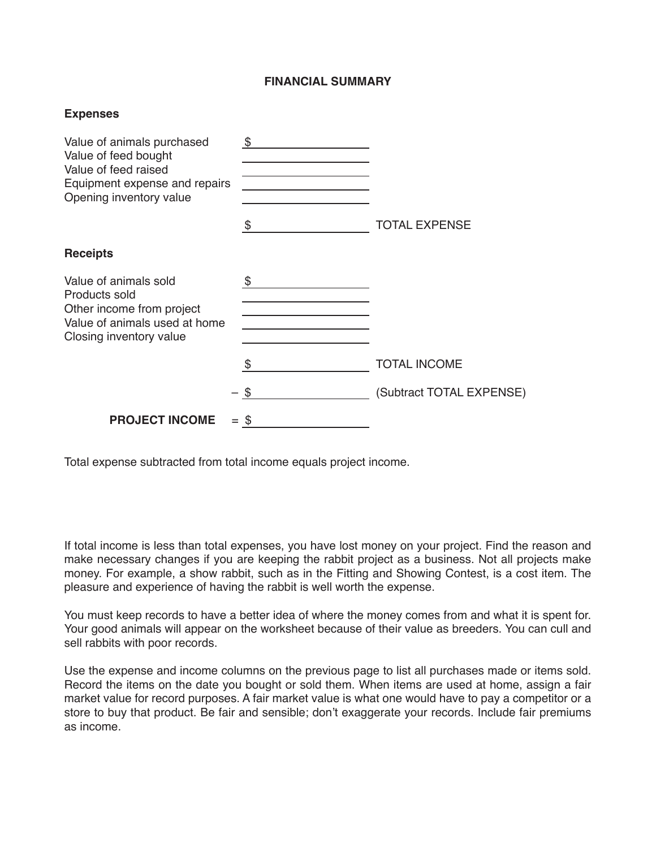### **FINANCIAL SUMMARY**

| <b>Expenses</b>                                                                                                                        |          |                          |  |  |
|----------------------------------------------------------------------------------------------------------------------------------------|----------|--------------------------|--|--|
| Value of animals purchased<br>Value of feed bought<br>Value of feed raised<br>Equipment expense and repairs<br>Opening inventory value | \$<br>\$ | <b>TOTAL EXPENSE</b>     |  |  |
| <b>Receipts</b>                                                                                                                        |          |                          |  |  |
| Value of animals sold<br>Products sold<br>Other income from project<br>Value of animals used at home<br>Closing inventory value        | \$       |                          |  |  |
|                                                                                                                                        | \$       | <b>TOTAL INCOME</b>      |  |  |
|                                                                                                                                        | \$       | (Subtract TOTAL EXPENSE) |  |  |
| <b>PROJECT INCOME</b>                                                                                                                  | $=$ \$   |                          |  |  |

Total expense subtracted from total income equals project income.

If total income is less than total expenses, you have lost money on your project. Find the reason and make necessary changes if you are keeping the rabbit project as a business. Not all projects make money. For example, a show rabbit, such as in the Fitting and Showing Contest, is a cost item. The pleasure and experience of having the rabbit is well worth the expense.

You must keep records to have a better idea of where the money comes from and what it is spent for. Your good animals will appear on the worksheet because of their value as breeders. You can cull and sell rabbits with poor records.

Use the expense and income columns on the previous page to list all purchases made or items sold. Record the items on the date you bought or sold them. When items are used at home, assign a fair market value for record purposes. A fair market value is what one would have to pay a competitor or a store to buy that product. Be fair and sensible; don't exaggerate your records. Include fair premiums as income.